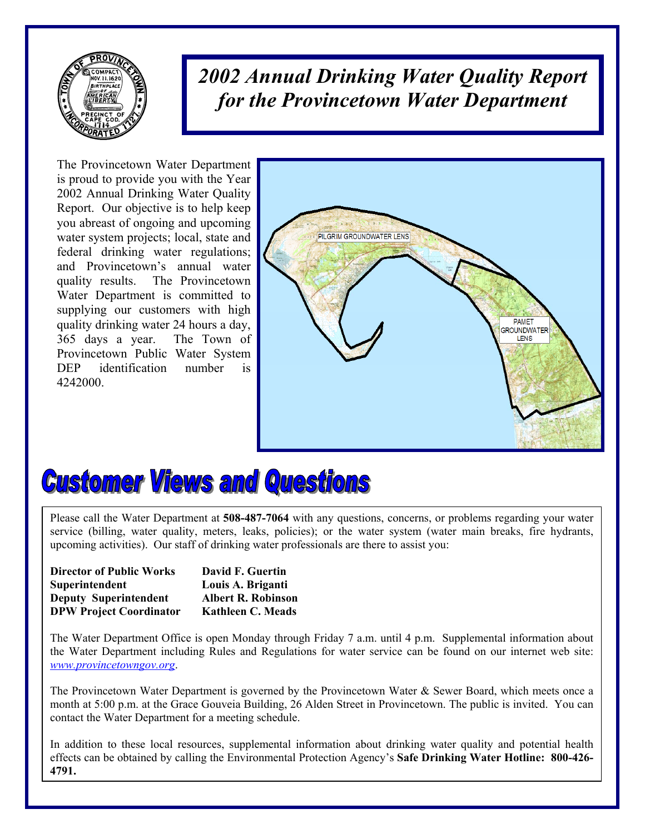

*2002 Annual Drinking Water Quality Report for the Provincetown Water Department*

The Provincetown Water Department is proud to provide you with the Year 2002 Annual Drinking Water Quality Report. Our objective is to help keep you abreast of ongoing and upcoming water system projects; local, state and federal drinking water regulations; and Provincetown's annual water quality results. The Provincetown Water Department is committed to supplying our customers with high quality drinking water 24 hours a day, 365 days a year. The Town of Provincetown Public Water System DEP identification number is 4242000.



# **Customer Views and Questions**

Please call the Water Department at **508-487-7064** with any questions, concerns, or problems regarding your water service (billing, water quality, meters, leaks, policies); or the water system (water main breaks, fire hydrants, upcoming activities). Our staff of drinking water professionals are there to assist you:

| <b>Director of Public Works</b> | David F. Guertin          |
|---------------------------------|---------------------------|
| Superintendent                  | Louis A. Briganti         |
| <b>Deputy Superintendent</b>    | <b>Albert R. Robinson</b> |
| <b>DPW Project Coordinator</b>  | <b>Kathleen C. Meads</b>  |

The Water Department Office is open Monday through Friday 7 a.m. until 4 p.m. Supplemental information about the Water Department including Rules and Regulations for water service can be found on our internet web site: *www.provincetowngov.org*.

The Provincetown Water Department is governed by the Provincetown Water & Sewer Board, which meets once a month at 5:00 p.m. at the Grace Gouveia Building, 26 Alden Street in Provincetown. The public is invited. You can contact the Water Department for a meeting schedule.

In addition to these local resources, supplemental information about drinking water quality and potential health effects can be obtained by calling the Environmental Protection Agency's **Safe Drinking Water Hotline: 800-426- 4791.**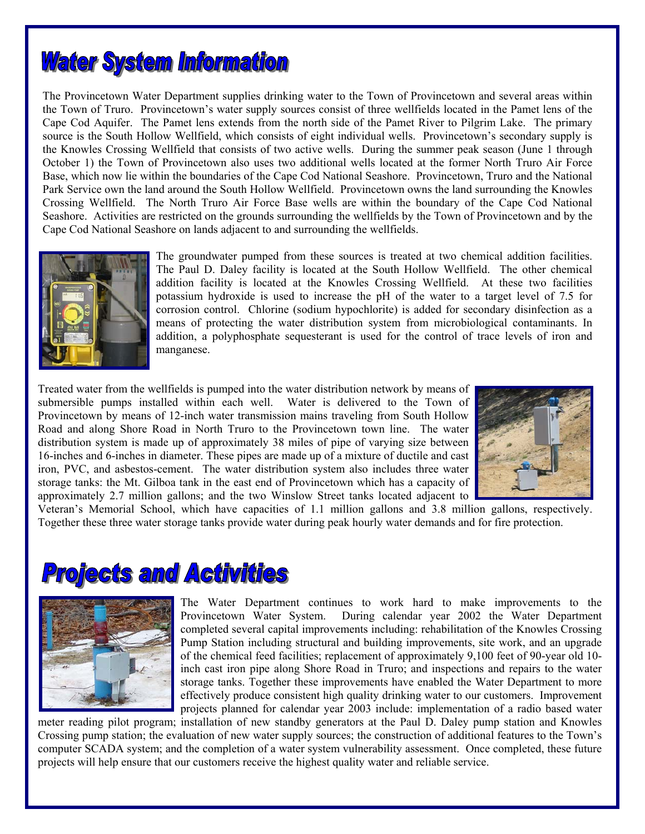

The Provincetown Water Department supplies drinking water to the Town of Provincetown and several areas within the Town of Truro. Provincetown's water supply sources consist of three wellfields located in the Pamet lens of the Cape Cod Aquifer. The Pamet lens extends from the north side of the Pamet River to Pilgrim Lake. The primary source is the South Hollow Wellfield, which consists of eight individual wells. Provincetown's secondary supply is the Knowles Crossing Wellfield that consists of two active wells. During the summer peak season (June 1 through October 1) the Town of Provincetown also uses two additional wells located at the former North Truro Air Force Base, which now lie within the boundaries of the Cape Cod National Seashore. Provincetown, Truro and the National Park Service own the land around the South Hollow Wellfield. Provincetown owns the land surrounding the Knowles Crossing Wellfield. The North Truro Air Force Base wells are within the boundary of the Cape Cod National Seashore. Activities are restricted on the grounds surrounding the wellfields by the Town of Provincetown and by the Cape Cod National Seashore on lands adjacent to and surrounding the wellfields.



The groundwater pumped from these sources is treated at two chemical addition facilities. The Paul D. Daley facility is located at the South Hollow Wellfield. The other chemical addition facility is located at the Knowles Crossing Wellfield. At these two facilities potassium hydroxide is used to increase the pH of the water to a target level of 7.5 for corrosion control. Chlorine (sodium hypochlorite) is added for secondary disinfection as a means of protecting the water distribution system from microbiological contaminants. In addition, a polyphosphate sequesterant is used for the control of trace levels of iron and manganese.

Treated water from the wellfields is pumped into the water distribution network by means of submersible pumps installed within each well. Water is delivered to the Town of Provincetown by means of 12-inch water transmission mains traveling from South Hollow Road and along Shore Road in North Truro to the Provincetown town line. The water distribution system is made up of approximately 38 miles of pipe of varying size between 16-inches and 6-inches in diameter. These pipes are made up of a mixture of ductile and cast iron, PVC, and asbestos-cement. The water distribution system also includes three water storage tanks: the Mt. Gilboa tank in the east end of Provincetown which has a capacity of approximately 2.7 million gallons; and the two Winslow Street tanks located adjacent to



Veteran's Memorial School, which have capacities of 1.1 million gallons and 3.8 million gallons, respectively. Together these three water storage tanks provide water during peak hourly water demands and for fire protection.

## **Projects and Activities**



The Water Department continues to work hard to make improvements to the Provincetown Water System. During calendar year 2002 the Water Department completed several capital improvements including: rehabilitation of the Knowles Crossing Pump Station including structural and building improvements, site work, and an upgrade of the chemical feed facilities; replacement of approximately 9,100 feet of 90-year old 10 inch cast iron pipe along Shore Road in Truro; and inspections and repairs to the water storage tanks. Together these improvements have enabled the Water Department to more effectively produce consistent high quality drinking water to our customers. Improvement projects planned for calendar year 2003 include: implementation of a radio based water

meter reading pilot program; installation of new standby generators at the Paul D. Daley pump station and Knowles Crossing pump station; the evaluation of new water supply sources; the construction of additional features to the Town's computer SCADA system; and the completion of a water system vulnerability assessment. Once completed, these future projects will help ensure that our customers receive the highest quality water and reliable service.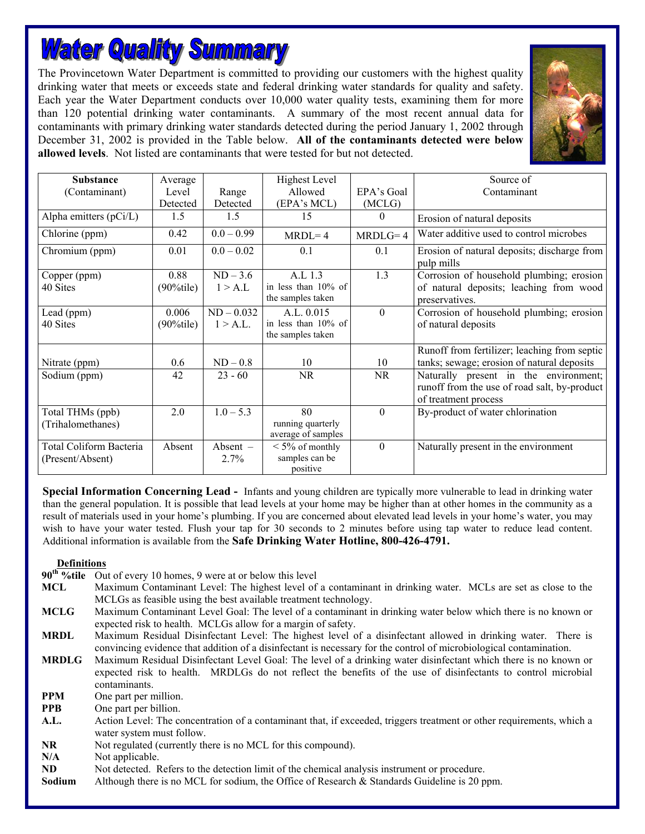# **Water Quality Summary**

The Provincetown Water Department is committed to providing our customers with the highest quality drinking water that meets or exceeds state and federal drinking water standards for quality and safety. Each year the Water Department conducts over 10,000 water quality tests, examining them for more than 120 potential drinking water contaminants. A summary of the most recent annual data for contaminants with primary drinking water standards detected during the period January 1, 2002 through December 31, 2002 is provided in the Table below. **All of the contaminants detected were below allowed levels**. Not listed are contaminants that were tested for but not detected.



| <b>Substance</b>                                   | Average                |                          | <b>Highest Level</b>                                   |            | Source of                                                                                                     |
|----------------------------------------------------|------------------------|--------------------------|--------------------------------------------------------|------------|---------------------------------------------------------------------------------------------------------------|
| (Contaminant)                                      | Level                  | Range                    | Allowed                                                | EPA's Goal | Contaminant                                                                                                   |
|                                                    | Detected               | Detected                 | (EPA's MCL)                                            | (MCLG)     |                                                                                                               |
| Alpha emitters (pCi/L)                             | 1.5                    | 1.5                      | 15                                                     | $\theta$   | Erosion of natural deposits                                                                                   |
| Chlorine (ppm)                                     | 0.42                   | $0.0 - 0.99$             | $MRDL=4$                                               | $MRDLG=4$  | Water additive used to control microbes                                                                       |
| Chromium (ppm)                                     | 0.01                   | $0.0 - 0.02$             | 0.1                                                    | 0.1        | Erosion of natural deposits; discharge from<br>pulp mills                                                     |
| Copper (ppm)<br>40 Sites                           | 0.88<br>$(90\%$ tile)  | $ND - 3.6$<br>1 > A.L    | A.L 1.3<br>in less than $10\%$ of<br>the samples taken | 1.3        | Corrosion of household plumbing; erosion<br>of natural deposits; leaching from wood<br>preservatives.         |
| Lead (ppm)<br>40 Sites                             | 0.006<br>$(90\%$ tile) | $ND - 0.032$<br>1 > A.L. | A.L. 0.015<br>in less than 10% of<br>the samples taken | $\theta$   | Corrosion of household plumbing; erosion<br>of natural deposits                                               |
| Nitrate (ppm)                                      | 0.6                    | $ND-0.8$                 | 10                                                     | 10         | Runoff from fertilizer; leaching from septic<br>tanks; sewage; erosion of natural deposits                    |
| Sodium (ppm)                                       | 42                     | $23 - 60$                | <b>NR</b>                                              | <b>NR</b>  | Naturally present in the environment;<br>runoff from the use of road salt, by-product<br>of treatment process |
| Total THMs (ppb)<br>(Trihalomethanes)              | 2.0                    | $1.0 - 5.3$              | 80<br>running quarterly<br>average of samples          | $\theta$   | By-product of water chlorination                                                                              |
| <b>Total Coliform Bacteria</b><br>(Present/Absent) | Absent                 | Absent -<br>2.7%         | $\leq 5\%$ of monthly<br>samples can be<br>positive    | $\Omega$   | Naturally present in the environment                                                                          |

**Special Information Concerning Lead -** Infants and young children are typically more vulnerable to lead in drinking water than the general population. It is possible that lead levels at your home may be higher than at other homes in the community as a result of materials used in your home's plumbing. If you are concerned about elevated lead levels in your home's water, you may wish to have your water tested. Flush your tap for 30 seconds to 2 minutes before using tap water to reduce lead content. Additional information is available from the **Safe Drinking Water Hotline, 800-426-4791.** 

**Definitions**<br>90<sup>th</sup> %tile Ou Out of every 10 homes, 9 were at or below this level

- **MCL** Maximum Contaminant Level: The highest level of a contaminant in drinking water. MCLs are set as close to the MCLGs as feasible using the best available treatment technology.
- **MCLG** Maximum Contaminant Level Goal: The level of a contaminant in drinking water below which there is no known or expected risk to health. MCLGs allow for a margin of safety.

**MRDL** Maximum Residual Disinfectant Level: The highest level of a disinfectant allowed in drinking water. There is convincing evidence that addition of a disinfectant is necessary for the control of microbiological contamination.

- **MRDLG** Maximum Residual Disinfectant Level Goal: The level of a drinking water disinfectant which there is no known or expected risk to health. MRDLGs do not reflect the benefits of the use of disinfectants to control microbial contaminants.
- **PPM** One part per million.
- **PPB** One part per billion.
- **A.L.** Action Level: The concentration of a contaminant that, if exceeded, triggers treatment or other requirements, which a water system must follow.
- **NR** Not regulated (currently there is no MCL for this compound).
- N/A Not applicable.
- **ND** Not detected. Refers to the detection limit of the chemical analysis instrument or procedure.
- **Sodium** Although there is no MCL for sodium, the Office of Research & Standards Guideline is 20 ppm.